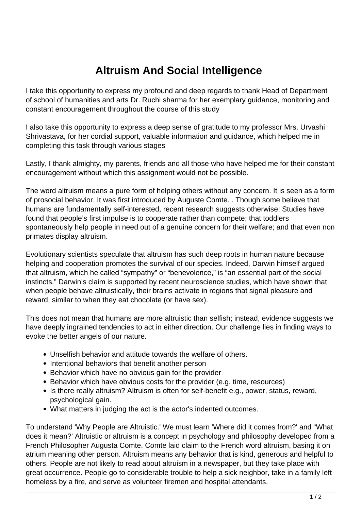## **Altruism And Social Intelligence**

I take this opportunity to express my profound and deep regards to thank Head of Department of school of humanities and arts Dr. Ruchi sharma for her exemplary guidance, monitoring and constant encouragement throughout the course of this study

I also take this opportunity to express a deep sense of gratitude to my professor Mrs. Urvashi Shrivastava, for her cordial support, valuable information and guidance, which helped me in completing this task through various stages

Lastly, I thank almighty, my parents, friends and all those who have helped me for their constant encouragement without which this assignment would not be possible.

The word altruism means a pure form of helping others without any concern. It is seen as a form of prosocial behavior. It was first introduced by Auguste Comte. . Though some believe that humans are fundamentally self-interested, recent research suggests otherwise: Studies have found that people's first impulse is to cooperate rather than compete; that toddlers spontaneously help people in need out of a genuine concern for their welfare; and that even non primates display altruism.

Evolutionary scientists speculate that altruism has such deep roots in human nature because helping and cooperation promotes the survival of our species. Indeed, Darwin himself argued that altruism, which he called "sympathy" or "benevolence," is "an essential part of the social instincts." Darwin's claim is supported by recent neuroscience studies, which have shown that when people behave altruistically, their brains activate in regions that signal pleasure and reward, similar to when they eat chocolate (or have sex).

This does not mean that humans are more altruistic than selfish; instead, evidence suggests we have deeply ingrained tendencies to act in either direction. Our challenge lies in finding ways to evoke the better angels of our nature.

- Unselfish behavior and attitude towards the welfare of others.
- Intentional behaviors that benefit another person
- Behavior which have no obvious gain for the provider
- Behavior which have obvious costs for the provider (e.g. time, resources)
- Is there really altruism? Altruism is often for self-benefit e.g., power, status, reward, psychological gain.
- What matters in judging the act is the actor's indented outcomes.

To understand 'Why People are Altruistic.' We must learn 'Where did it comes from?' and "What does it mean?' Altruistic or altruism is a concept in psychology and philosophy developed from a French Philosopher Augusta Comte. Comte laid claim to the French word altruism, basing it on atrium meaning other person. Altruism means any behavior that is kind, generous and helpful to others. People are not likely to read about altruism in a newspaper, but they take place with great occurrence. People go to considerable trouble to help a sick neighbor, take in a family left homeless by a fire, and serve as volunteer firemen and hospital attendants.